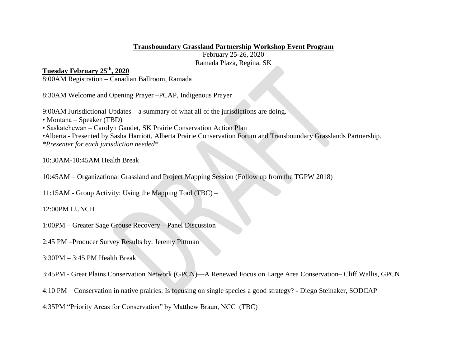## **Transboundary Grassland Partnership Workshop Event Program**

February 25-26, 2020 Ramada Plaza, Regina, SK

## **Tuesday February 25th, 2020**

8:00AM Registration – Canadian Ballroom, Ramada

8:30AM Welcome and Opening Prayer –PCAP, Indigenous Prayer

9:00AM Jurisdictional Updates – a summary of what all of the jurisdictions are doing.

- Montana Speaker (TBD)
- Saskatchewan Carolyn Gaudet, SK Prairie Conservation Action Plan

•Alberta - Presented by Sasha Harriott, Alberta Prairie Conservation Forum and Transboundary Grasslands Partnership.

*\*Presenter for each jurisdiction needed\**

10:30AM-10:45AM Health Break

10:45AM – Organizational Grassland and Project Mapping Session (Follow up from the TGPW 2018)

11:15AM - Group Activity: Using the Mapping Tool (TBC) –

12:00PM LUNCH

1:00PM – Greater Sage Grouse Recovery – Panel Discussion

2:45 PM –Producer Survey Results by: Jeremy Pittman

3:30PM – 3:45 PM Health Break

3:45PM - Great Plains Conservation Network (GPCN)—A Renewed Focus on Large Area Conservation– Cliff Wallis, GPCN

4:10 PM – Conservation in native prairies: Is focusing on single species a good strategy? - Diego Steinaker, SODCAP

4:35PM "Priority Areas for Conservation" by Matthew Braun, NCC (TBC)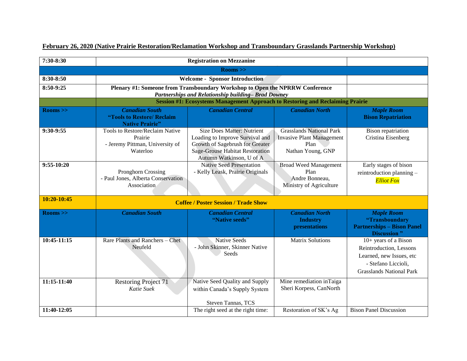| 7:30-8:30     | <b>Registration on Mezzanine</b>                                                                                                     |                                                                                                                                                                               |                                                                                                  |                                                                                                                                         |  |
|---------------|--------------------------------------------------------------------------------------------------------------------------------------|-------------------------------------------------------------------------------------------------------------------------------------------------------------------------------|--------------------------------------------------------------------------------------------------|-----------------------------------------------------------------------------------------------------------------------------------------|--|
| $\rm Rooms >$ |                                                                                                                                      |                                                                                                                                                                               |                                                                                                  |                                                                                                                                         |  |
| 8:30-8:50     | <b>Welcome - Sponsor Introduction</b>                                                                                                |                                                                                                                                                                               |                                                                                                  |                                                                                                                                         |  |
| 8:50-9:25     | Plenary #1: Someone from Transboundary Workshop to Open the NPRRW Conference                                                         |                                                                                                                                                                               |                                                                                                  |                                                                                                                                         |  |
|               | Partnerships and Relationship building-Brad Downey<br>Session #1: Ecosystems Management Approach to Restoring and Reclaiming Prairie |                                                                                                                                                                               |                                                                                                  |                                                                                                                                         |  |
| $\rm Rooms >$ | <b>Canadian South</b><br>"Tools to Restore/ Reclaim<br><b>Native Prairie"</b>                                                        | <b>Canadian Central</b>                                                                                                                                                       | <b>Canadian North</b>                                                                            | <b>Maple Room</b><br><b>Bison Repatriation</b>                                                                                          |  |
| 9:30-9:55     | Tools to Restore/Reclaim Native<br>Prairie<br>- Jeremy Pittman, University of<br>Waterloo                                            | <b>Size Does Matter: Nutrient</b><br>Loading to Improve Survival and<br>Growth of Sagebrush for Greater<br><b>Sage-Grouse Habitat Restoration</b><br>Autumn Watkinson, U of A | <b>Grasslands National Park</b><br><b>Invasive Plant Management</b><br>Plan<br>Nathan Young, GNP | <b>Bison</b> repatriation<br>Cristina Eisenberg                                                                                         |  |
| $9:55-10:20$  | Pronghorn Crossing<br>- Paul Jones, Alberta Conservation<br>Association                                                              | <b>Native Seed Presentation</b><br>- Kelly Leask, Prairie Originals                                                                                                           | <b>Broad Weed Management</b><br>Plan<br>Andre Bonneau,<br>Ministry of Agriculture                | Early stages of bison<br>reintroduction planning -<br><b>Elliot Fox</b>                                                                 |  |
| 10:20-10:45   | <b>Coffee / Poster Session / Trade Show</b>                                                                                          |                                                                                                                                                                               |                                                                                                  |                                                                                                                                         |  |
| $\rm Rooms >$ | <b>Canadian South</b>                                                                                                                | <b>Canadian Central</b><br>"Native seeds"                                                                                                                                     | <b>Canadian North</b><br><b>Industry</b><br>presentations                                        | <b>Maple Room</b><br>"Transboundary<br><b>Partnerships - Bison Panel</b><br><b>Discussion</b> "                                         |  |
| 10:45-11:15   | Rare Plants and Ranchers - Chet<br>Neufeld                                                                                           | <b>Native Seeds</b><br>- John Skinner, Skinner Native<br>Seeds                                                                                                                | <b>Matrix Solutions</b>                                                                          | $10+$ years of a Bison<br>Reintroduction, Lessons<br>Learned, new Issues, etc<br>- Stefano Liccioli,<br><b>Grasslands National Park</b> |  |
| 11:15-11:40   | <b>Restoring Project 71</b><br>Katie Suek                                                                                            | Native Seed Quality and Supply<br>within Canada's Supply System<br>Steven Tannas, TCS                                                                                         | Mine remediation inTaiga<br>Sheri Korpess, CanNorth                                              |                                                                                                                                         |  |
| 11:40-12:05   |                                                                                                                                      | The right seed at the right time:                                                                                                                                             | Restoration of SK's Ag                                                                           | <b>Bison Panel Discussion</b>                                                                                                           |  |

## **February 26, 2020 (Native Prairie Restoration/Reclamation Workshop and Transboundary Grasslands Partnership Workshop)**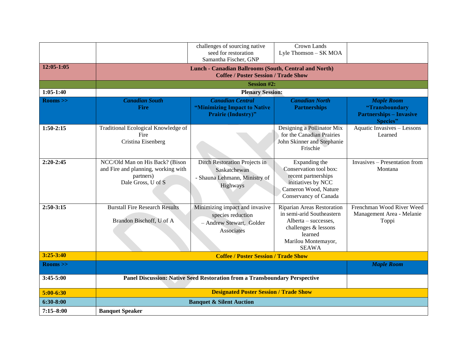|                     |                                                                                                           | challenges of sourcing native<br>seed for restoration                                                       | Crown Lands<br>Lyle Thomson - SK MOA                                                                                                                      |                                                                                   |  |
|---------------------|-----------------------------------------------------------------------------------------------------------|-------------------------------------------------------------------------------------------------------------|-----------------------------------------------------------------------------------------------------------------------------------------------------------|-----------------------------------------------------------------------------------|--|
|                     |                                                                                                           | Samantha Fischer, GNP                                                                                       |                                                                                                                                                           |                                                                                   |  |
| $12:05 - 1:05$      |                                                                                                           | <b>Lunch - Canadian Ballrooms (South, Central and North)</b><br><b>Coffee / Poster Session / Trade Show</b> |                                                                                                                                                           |                                                                                   |  |
|                     |                                                                                                           | <b>Session #2:</b>                                                                                          |                                                                                                                                                           |                                                                                   |  |
| $1:05-1:40$         |                                                                                                           | <b>Plenary Session:</b>                                                                                     |                                                                                                                                                           |                                                                                   |  |
| $\rm Rooms >$       | <b>Canadian South</b><br>Fire                                                                             | <b>Canadian Central</b><br>"Minimizing Impact to Native<br><b>Prairie (Industry)"</b>                       | <b>Canadian North</b><br><b>Partnerships</b>                                                                                                              | <b>Maple Room</b><br>"Transboundary<br><b>Partnerships - Invasive</b><br>Species" |  |
| $1:50-2:15$         | Traditional Ecological Knowledge of<br>Fire<br>Cristina Eisenberg                                         |                                                                                                             | Designing a Pollinator Mix<br>for the Canadian Prairies<br>John Skinner and Stephanie<br>Frischie                                                         | Aquatic Invasives - Lessons<br>Learned                                            |  |
| $2:20-2:45$         | NCC/Old Man on His Back? (Bison<br>and Fire and planning, working with<br>partners)<br>Dale Gross, U of S | Ditch Restoration Projects in<br>Saskatchewan<br>- Shauna Lehmann, Ministry of<br>Highways                  | Expanding the<br>Conservation tool box:<br>recent partnerships<br>initiatives by NCC<br>Cameron Wood, Nature<br>Conservancy of Canada                     | Invasives - Presentation from<br>Montana                                          |  |
| $2:50-3:15$         | <b>Burstall Fire Research Results</b><br>Brandon Bischoff, U of A                                         | Minimizing impact and invasive<br>species reduction<br>- Andrew Stewart, Golder<br>Associates               | Riparian Areas Restoration<br>in semi-arid Southeastern<br>Alberta – successes,<br>challenges & lessons<br>learned<br>Marilou Montemayor,<br><b>SEAWA</b> | Frenchman Wood River Weed<br>Management Area - Melanie<br>Toppi                   |  |
| $3:25 - 3:40$       | <b>Coffee / Poster Session / Trade Show</b>                                                               |                                                                                                             |                                                                                                                                                           |                                                                                   |  |
| $\mathrm{Rooms}$ >> |                                                                                                           |                                                                                                             |                                                                                                                                                           | <b>Maple Room</b>                                                                 |  |
| $3:45-5:00$         | Panel Discussion: Native Seed Restoration from a Transboundary Perspective                                |                                                                                                             |                                                                                                                                                           |                                                                                   |  |
| $5:00-6:30$         | <b>Designated Poster Session / Trade Show</b>                                                             |                                                                                                             |                                                                                                                                                           |                                                                                   |  |
| $6:30-8:00$         | <b>Banquet &amp; Silent Auction</b>                                                                       |                                                                                                             |                                                                                                                                                           |                                                                                   |  |
| $7:15 - 8:00$       | <b>Banquet Speaker</b>                                                                                    |                                                                                                             |                                                                                                                                                           |                                                                                   |  |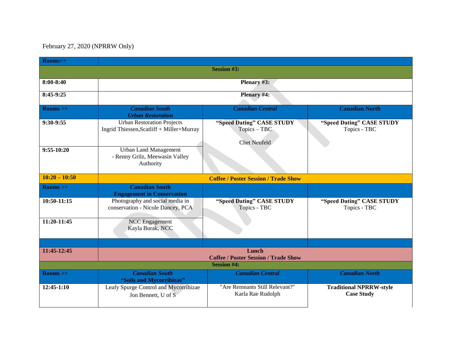## February 27, 2020 (NPRRW Only)

| Rooms>>            |                                                                                |                                                                  |                                                     |  |  |
|--------------------|--------------------------------------------------------------------------------|------------------------------------------------------------------|-----------------------------------------------------|--|--|
|                    |                                                                                | <b>Session #3:</b>                                               |                                                     |  |  |
| $8:00 - 8:40$      | Plenary #3:                                                                    |                                                                  |                                                     |  |  |
| 8:45-9:25          | Plenary #4:                                                                    |                                                                  |                                                     |  |  |
| $\rm Rooms >$      | <b>Canadian South</b><br><b>Urban Restoration</b>                              | <b>Canadian Central</b>                                          | <b>Canadian North</b>                               |  |  |
| 9:30-9:55          | <b>Urban Restoration Projects</b><br>Ingrid Thiessen, Scatliff + Miller+Murray | "Speed Dating" CASE STUDY<br>Topics - TBC<br><b>Chet Neufeld</b> | "Speed Dating" CASE STUDY<br>Topics - TBC           |  |  |
| $9:55-10:20$       | <b>Urban Land Management</b><br>- Renny Grilz, Meewasin Valley<br>Authority    |                                                                  |                                                     |  |  |
| $10:20 - 10:50$    | <b>Coffee / Poster Session / Trade Show</b>                                    |                                                                  |                                                     |  |  |
| $\rm Rooms >$      | <b>Canadian South</b><br><b>Engagement in Conservation</b>                     |                                                                  |                                                     |  |  |
| 10:50-11:15        | Photography and social media in<br>conservation - Nicole Dancey, PCA           | "Speed Dating" CASE STUDY<br>Topics - TBC                        | "Speed Dating" CASE STUDY<br>Topics - TBC           |  |  |
| 11:20-11:45        | <b>NCC</b> Engagement<br>Kayla Burak, NCC                                      |                                                                  |                                                     |  |  |
|                    |                                                                                |                                                                  |                                                     |  |  |
| 11:45-12:45        | Lunch<br><b>Coffee / Poster Session / Trade Show</b>                           |                                                                  |                                                     |  |  |
| <b>Session #4:</b> |                                                                                |                                                                  |                                                     |  |  |
| $\rm Rooms >$      | <b>Canadian South</b><br>"Soils and Mycorrihizae"                              | <b>Canadian Central</b>                                          | <b>Canadian North</b>                               |  |  |
| $12:45-1:10$       | Leafy Spurge Control and Mycorrihizae<br>Jon Bennett, U of S                   | "Are Remnants Still Relevant?"<br>Karla Rae Rudolph              | <b>Traditional NPRRW-style</b><br><b>Case Study</b> |  |  |